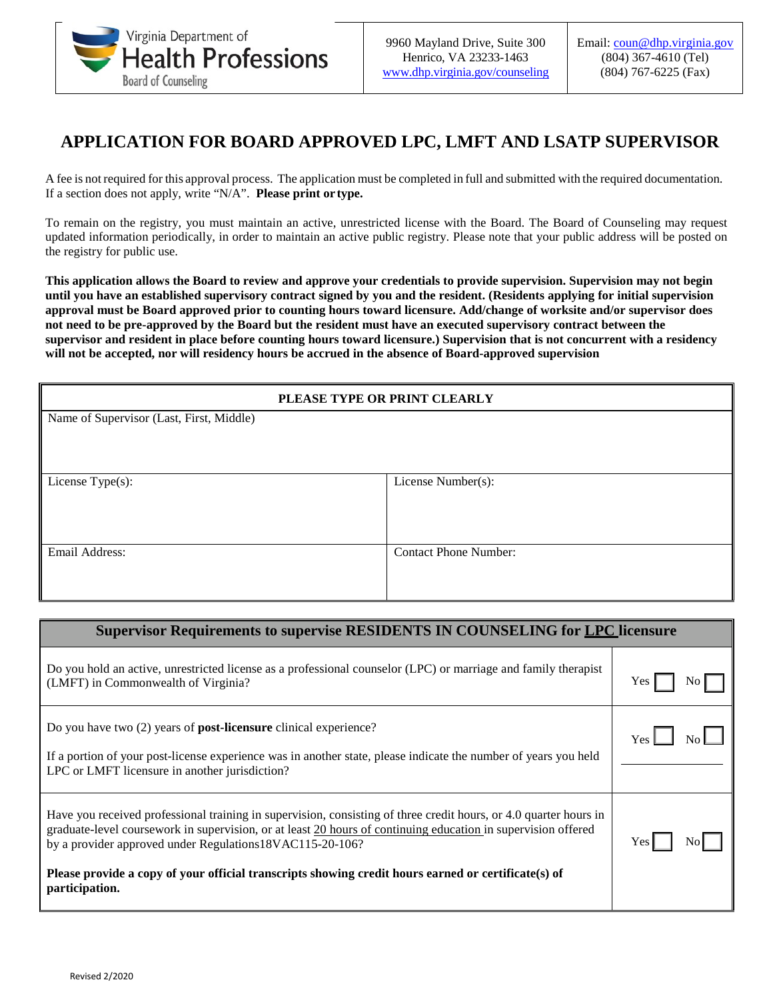

## **APPLICATION FOR BOARD APPROVED LPC, LMFT AND LSATP SUPERVISOR**

A fee is not required for this approval process. The application must be completed in full and submitted with the required documentation. If a section does not apply, write "N/A". **Please print or type.**

To remain on the registry, you must maintain an active, unrestricted license with the Board. The Board of Counseling may request updated information periodically, in order to maintain an active public registry. Please note that your public address will be posted on the registry for public use.

**This application allows the Board to review and approve your credentials to provide supervision. Supervision may not begin until you have an established supervisory contract signed by you and the resident. (Residents applying for initial supervision approval must be Board approved prior to counting hours toward licensure. Add/change of worksite and/or supervisor does not need to be pre-approved by the Board but the resident must have an executed supervisory contract between the supervisor and resident in place before counting hours toward licensure.) Supervision that is not concurrent with a residency will not be accepted, nor will residency hours be accrued in the absence of Board-approved supervision**

| PLEASE TYPE OR PRINT CLEARLY             |                              |  |
|------------------------------------------|------------------------------|--|
| Name of Supervisor (Last, First, Middle) |                              |  |
|                                          |                              |  |
|                                          |                              |  |
| License Type(s):                         | License Number(s):           |  |
|                                          |                              |  |
|                                          |                              |  |
| Email Address:                           | <b>Contact Phone Number:</b> |  |
|                                          |                              |  |
|                                          |                              |  |

| <b>Supervisor Requirements to supervise RESIDENTS IN COUNSELING for LPC licensure</b>                                                                                                                                                                                                                                                                                                                                   |            |
|-------------------------------------------------------------------------------------------------------------------------------------------------------------------------------------------------------------------------------------------------------------------------------------------------------------------------------------------------------------------------------------------------------------------------|------------|
| Do you hold an active, unrestricted license as a professional counselor (LPC) or marriage and family therapist<br>(LMFT) in Commonwealth of Virginia?                                                                                                                                                                                                                                                                   | Yes        |
| Do you have two $(2)$ years of <b>post-licensure</b> clinical experience?<br>If a portion of your post-license experience was in another state, please indicate the number of years you held<br>LPC or LMFT licensure in another jurisdiction?                                                                                                                                                                          | <b>Yes</b> |
| Have you received professional training in supervision, consisting of three credit hours, or 4.0 quarter hours in<br>graduate-level coursework in supervision, or at least 20 hours of continuing education in supervision offered<br>by a provider approved under Regulations18VAC115-20-106?<br>Please provide a copy of your official transcripts showing credit hours earned or certificate(s) of<br>participation. |            |